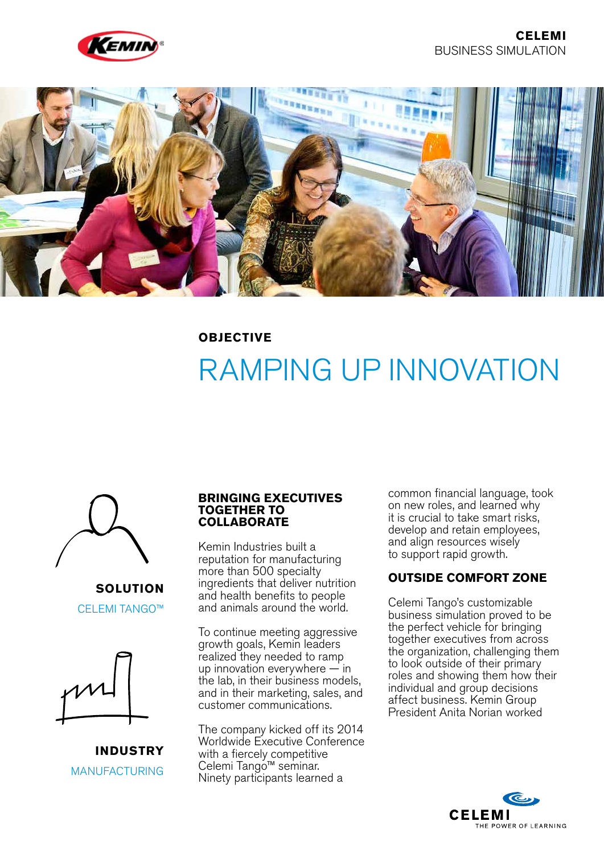



## **OBJECTIVE**

# RAMPING UP INNOVATION



**SOLUTION** CELEMI TANGO™



**INDUSTRY** MANUFACTURING

#### **BRINGING EXECUTIVES TOGETHER TO COLLABORATE**

Kemin Industries built a reputation for manufacturing more than 500 specialty ingredients that deliver nutrition and health benefits to people and animals around the world.

To continue meeting aggressive growth goals, Kemin leaders realized they needed to ramp up innovation everywhere — in the lab, in their business models, and in their marketing, sales, and customer communications.

The company kicked off its 2014 Worldwide Executive Conference with a fiercely competitive Celemi Tango™ seminar. Ninety participants learned a

common financial language, took on new roles, and learned why it is crucial to take smart risks, develop and retain employees, and align resources wisely to support rapid growth.

#### **OUTSIDE COMFORT ZONE**

Celemi Tango's customizable business simulation proved to be the perfect vehicle for bringing together executives from across the organization, challenging them to look outside of their primary roles and showing them how their individual and group decisions affect business. Kemin Group President Anita Norian worked

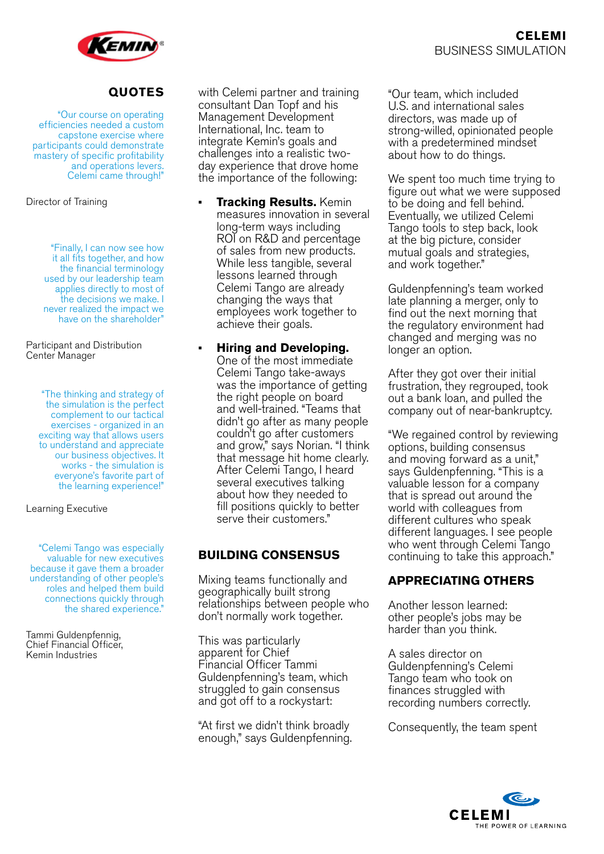

# **QUOTES**

"Our course on operating efficiencies needed a custom capstone exercise where participants could demonstrate mastery of specific profitability and operations levers. Celemi came through!"

Director of Training

"Finally, I can now see how it all fits together, and how the financial terminology used by our leadership team applies directly to most of the decisions we make. I never realized the impact we have on the shareholder"

Participant and Distribution Center Manager

> "The thinking and strategy of the simulation is the perfect complement to our tactical exercises - organized in an exciting way that allows users to understand and appreciate our business objectives. It works - the simulation is everyone's favorite part of the learning experience!"

Learning Executive

"Celemi Tango was especially valuable for new executives because it gave them a broader understanding of other people's roles and helped them build connections quickly through the shared experience."

Tammi Guldenpfennig, Chief Financial Officer, Kemin Industries

with Celemi partner and training consultant Dan Topf and his Management Development International, Inc. team to integrate Kemin's goals and challenges into a realistic twoday experience that drove home the importance of the following:

- **• Tracking Results.** Kemin measures innovation in several long-term ways including ROI on R&D and percentage of sales from new products. While less tangible, several lessons learned through Celemi Tango are already changing the ways that employees work together to achieve their goals.
	- **• Hiring and Developing.** One of the most immediate Celemi Tango take-aways was the importance of getting the right people on board and well-trained. "Teams that didn't go after as many people couldn't go after customers and grow," says Norian. "I think that message hit home clearly. After Celemi Tango, I heard several executives talking about how they needed to fill positions quickly to better serve their customers."

# **BUILDING CONSENSUS**

Mixing teams functionally and geographically built strong relationships between people who don't normally work together.

This was particularly apparent for Chief Financial Officer Tammi Guldenpfenning's team, which struggled to gain consensus and got off to a rockystart:

"At first we didn't think broadly enough," says Guldenpfenning. "Our team, which included U.S. and international sales directors, was made up of strong-willed, opinionated people with a predetermined mindset about how to do things.

We spent too much time trying to figure out what we were supposed to be doing and fell behind. Eventually, we utilized Celemi Tango tools to step back, look at the big picture, consider mutual goals and strategies, and work together."

Guldenpfenning's team worked late planning a merger, only to find out the next morning that the regulatory environment had changed and merging was no longer an option.

After they got over their initial frustration, they regrouped, took out a bank loan, and pulled the company out of near-bankruptcy.

"We regained control by reviewing options, building consensus and moving forward as a unit," says Guldenpfenning. "This is a valuable lesson for a company that is spread out around the world with colleagues from different cultures who speak different languages. I see people who went through Celemi Tango continuing to take this approach."

# **APPRECIATING OTHERS**

Another lesson learned: other people's jobs may be harder than you think.

A sales director on Guldenpfenning's Celemi Tango team who took on finances struggled with recording numbers correctly.

Consequently, the team spent